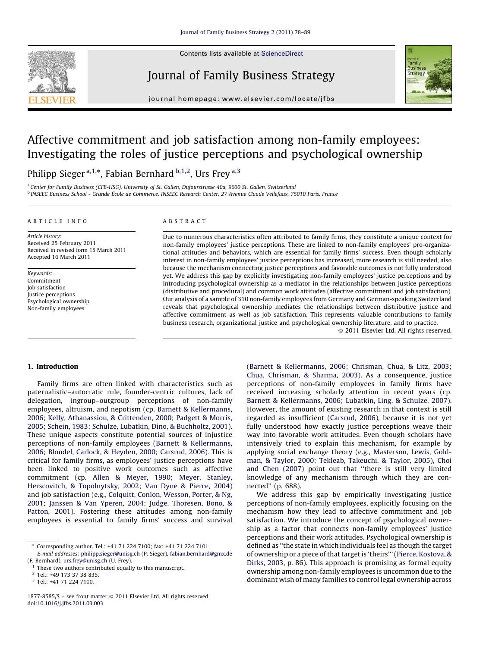

Contents lists available at [ScienceDirect](http://)

## Journal of Family Business Strategy



journal homepage: www.elsevier.com/locate/jfbs

# Affective commitment and job satisfaction among non-family employees: Investigating the roles of justice perceptions and psychological ownership

Philipp Sieger <sup>a,1,\*</sup>, Fabian Bernhard <sup>b,1,2</sup>, Urs Frey <sup>a,3</sup>

<sup>a</sup> Center for Family Business (CFB-HSG), University of St. Gallen, Dufourstrasse 40a, 9000 St. Gallen, Switzerland <sup>b</sup> INSEEC Business School - Grande E´cole de Commerce, INSEEC Research Center, 27 Avenue Claude Vellefaux, 75010 Paris, France

#### ARTICLE INFO

Article history: Received 25 February 2011 Received in revised form 15 March 2011 Accepted 16 March 2011

Keywords: Commitment Job satisfaction Justice perceptions Psychological ownership Non-family employees

## ABSTRACT

Due to numerous characteristics often attributed to family firms, they constitute a unique context for non-family employees' justice perceptions. These are linked to non-family employees' pro-organizational attitudes and behaviors, which are essential for family firms' success. Even though scholarly interest in non-family employees' justice perceptions has increased, more research is still needed, also because the mechanism connecting justice perceptions and favorable outcomes is not fully understood yet. We address this gap by explicitly investigating non-family employees' justice perceptions and by introducing psychological ownership as a mediator in the relationships between justice perceptions (distributive and procedural) and common work attitudes (affective commitment and job satisfaction). Our analysis of a sample of 310 non-family employees from Germany and German-speaking Switzerland reveals that psychological ownership mediates the relationships between distributive justice and affective commitment as well as job satisfaction. This represents valuable contributions to family business research, organizational justice and psychological ownership literature, and to practice.

- 2011 Elsevier Ltd. All rights reserved.

## 1. Introduction

Family firms are often linked with characteristics such as paternalistic–autocratic rule, founder-centric cultures, lack of delegation, ingroup–outgroup perceptions of non-family employees, altruism, and nepotism (cp. [Barnett & Kellermanns,](#page--1-0) [2006; Kelly, Athanassiou, & Crittenden, 2000; Padgett & Morris,](#page--1-0) [2005; Schein, 1983; Schulze, Lubatkin, Dino, & Buchholtz, 2001\)](#page--1-0). These unique aspects constitute potential sources of injustice perceptions of non-family employees [\(Barnett & Kellermanns,](#page--1-0) [2006; Blondel, Carlock, & Heyden, 2000; Carsrud, 2006](#page--1-0)). This is critical for family firms, as employees' justice perceptions have been linked to positive work outcomes such as affective commitment (cp. [Allen & Meyer, 1990; Meyer, Stanley,](#page--1-0) [Herscovitch, & Topolnytsky, 2002; Van Dyne & Pierce, 2004\)](#page--1-0) and job satisfaction (e.g., [Colquitt, Conlon, Wesson, Porter, & Ng,](#page--1-0) [2001; Janssen & Van Yperen, 2004; Judge, Thoresen, Bono, &](#page--1-0) [Patton, 2001\)](#page--1-0). Fostering these attitudes among non-family employees is essential to family firms' success and survival

([Barnett & Kellermanns, 2006; Chrisman, Chua, & Litz, 2003;](#page--1-0) [Chua, Chrisman, & Sharma, 2003\)](#page--1-0). As a consequence, justice perceptions of non-family employees in family firms have received increasing scholarly attention in recent years (cp. [Barnett & Kellermanns, 2006; Lubatkin, Ling, & Schulze, 2007\)](#page--1-0). However, the amount of existing research in that context is still regarded as insufficient ([Carsrud, 2006\)](#page--1-0), because it is not yet fully understood how exactly justice perceptions weave their way into favorable work attitudes. Even though scholars have intensively tried to explain this mechanism, for example by applying social exchange theory (e.g., [Masterson, Lewis, Gold](#page--1-0)[man, & Taylor, 2000; Tekleab, Takeuchi, & Taylor, 2005\)](#page--1-0), [Choi](#page--1-0) [and Chen \(2007\)](#page--1-0) point out that ''there is still very limited knowledge of any mechanism through which they are connected'' (p. 688).

We address this gap by empirically investigating justice perceptions of non-family employees, explicitly focusing on the mechanism how they lead to affective commitment and job satisfaction. We introduce the concept of psychological ownership as a factor that connects non-family employees' justice perceptions and their work attitudes. Psychological ownership is defined as ''the state in which individuals feel as though the target of ownership or a piece of that target is 'theirs''' [\(Pierce, Kostova, &](#page--1-0) [Dirks, 2003,](#page--1-0) p. 86). This approach is promising as formal equity ownership among non-family employees is uncommon due to the dominant wish of many families to control legal ownership across

Corresponding author. Tel.: +41 71 224 7100; fax: +41 71 224 7101. E-mail addresses: [philipp.sieger@unisg.ch](mailto:philipp.sieger@unisg.ch) (P. Sieger), [fabian.bernhard@gmx.de](mailto:fabian.bernhard@gmx.de)

<sup>(</sup>F. Bernhard), [urs.frey@unisg.ch](mailto:urs.frey@unisg.ch) (U. Frey).

 $1$  These two authors contributed equally to this manuscript.

<sup>2</sup> Tel.: +49 173 37 38 835.

<sup>3</sup> Tel.: +41 71 224 7100.

<sup>1877-8585/\$ -</sup> see front matter @ 2011 Elsevier Ltd. All rights reserved. doi:[10.1016/j.jfbs.2011.03.003](http://dx.doi.org/10.1016/j.jfbs.2011.03.003)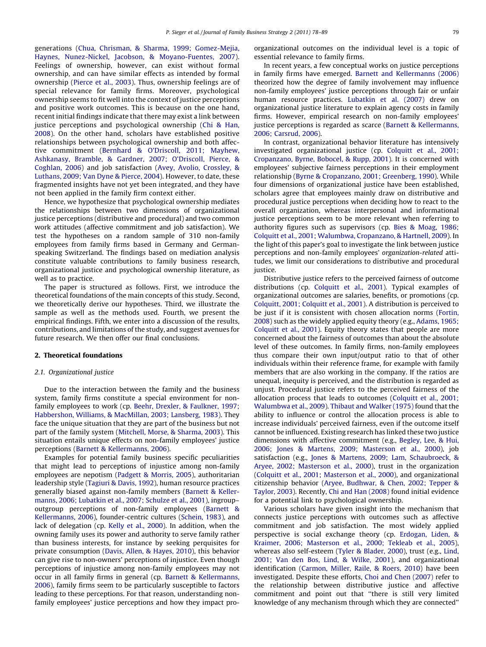generations ([Chua, Chrisman, & Sharma, 1999; Gomez-Mejia,](#page--1-0) [Haynes, Nunez-Nickel, Jacobson, & Moyano-Fuentes, 2007](#page--1-0)). Feelings of ownership, however, can exist without formal ownership, and can have similar effects as intended by formal ownership [\(Pierce et al., 2003](#page--1-0)). Thus, ownership feelings are of special relevance for family firms. Moreover, psychological ownership seems to fit well into the context of justice perceptions and positive work outcomes. This is because on the one hand, recent initial findings indicate that there may exist a link between justice perceptions and psychological ownership [\(Chi & Han,](#page--1-0) [2008](#page--1-0)). On the other hand, scholars have established positive relationships between psychological ownership and both affective commitment [\(Bernhard & O'Driscoll, 2011; Mayhew,](#page--1-0) [Ashkanasy, Bramble, & Gardner, 2007; O'Driscoll, Pierce, &](#page--1-0) [Coghlan, 2006\)](#page--1-0) and job satisfaction [\(Avey, Avolio, Crossley, &](#page--1-0) [Luthans, 2009; Van Dyne & Pierce, 2004\)](#page--1-0). However, to date, these fragmented insights have not yet been integrated, and they have not been applied in the family firm context either.

Hence, we hypothesize that psychological ownership mediates the relationships between two dimensions of organizational justice perceptions (distributive and procedural) and two common work attitudes (affective commitment and job satisfaction). We test the hypotheses on a random sample of 310 non-family employees from family firms based in Germany and Germanspeaking Switzerland. The findings based on mediation analysis constitute valuable contributions to family business research, organizational justice and psychological ownership literature, as well as to practice.

The paper is structured as follows. First, we introduce the theoretical foundations of the main concepts of this study. Second, we theoretically derive our hypotheses. Third, we illustrate the sample as well as the methods used. Fourth, we present the empirical findings. Fifth, we enter into a discussion of the results, contributions, and limitations of the study, and suggest avenues for future research. We then offer our final conclusions.

## 2. Theoretical foundations

## 2.1. Organizational justice

Due to the interaction between the family and the business system, family firms constitute a special environment for nonfamily employees to work (cp. [Beehr, Drexler, & Faulkner, 1997;](#page--1-0) [Habbershon, Williams, & MacMillan, 2003; Lansberg, 1983\)](#page--1-0). They face the unique situation that they are part of the business but not part of the family system [\(Mitchell, Morse, & Sharma, 2003](#page--1-0)). This situation entails unique effects on non-family employees' justice perceptions [\(Barnett & Kellermanns, 2006](#page--1-0)).

Examples for potential family business specific peculiarities that might lead to perceptions of injustice among non-family employees are nepotism [\(Padgett & Morris, 2005\)](#page--1-0), authoritarian leadership style ([Tagiuri & Davis, 1992\)](#page--1-0), human resource practices generally biased against non-family members [\(Barnett & Keller](#page--1-0)[manns, 2006; Lubatkin et al., 2007; Schulze et al., 2001\)](#page--1-0), ingroup– outgroup perceptions of non-family employees [\(Barnett &](#page--1-0) [Kellermanns, 2006\)](#page--1-0), founder-centric cultures [\(Schein, 1983](#page--1-0)), and lack of delegation (cp. [Kelly et al., 2000\)](#page--1-0). In addition, when the owning family uses its power and authority to serve family rather than business interests, for instance by seeking perquisites for private consumption ([Davis, Allen, & Hayes, 2010\)](#page--1-0), this behavior can give rise to non-owners' perceptions of injustice. Even though perceptions of injustice among non-family employees may not occur in all family firms in general (cp. [Barnett & Kellermanns,](#page--1-0) [2006\)](#page--1-0), family firms seem to be particularly susceptible to factors leading to these perceptions. For that reason, understanding nonfamily employees' justice perceptions and how they impact proorganizational outcomes on the individual level is a topic of essential relevance to family firms.

In recent years, a few conceptual works on justice perceptions in family firms have emerged. [Barnett and Kellermanns \(2006\)](#page--1-0) theorized how the degree of family involvement may influence non-family employees' justice perceptions through fair or unfair human resource practices. [Lubatkin et al. \(2007\)](#page--1-0) drew on organizational justice literature to explain agency costs in family firms. However, empirical research on non-family employees' justice perceptions is regarded as scarce [\(Barnett & Kellermanns,](#page--1-0) [2006; Carsrud, 2006\)](#page--1-0).

In contrast, organizational behavior literature has intensively investigated organizational justice (cp. [Colquitt et al., 2001;](#page--1-0) [Cropanzano, Byrne, Bobocel, & Rupp, 2001\)](#page--1-0). It is concerned with employees' subjective fairness perceptions in their employment relationship ([Byrne & Cropanzano, 2001; Greenberg, 1990](#page--1-0)). While four dimensions of organizational justice have been established, scholars agree that employees mainly draw on distributive and procedural justice perceptions when deciding how to react to the overall organization, whereas interpersonal and informational justice perceptions seem to be more relevant when referring to authority figures such as supervisors (cp. [Bies & Moag, 1986;](#page--1-0) [Colquitt et al., 2001; Walumbwa, Cropanzano, & Hartnell, 2009](#page--1-0)). In the light of this paper's goal to investigate the link between justice perceptions and non-family employees' organization-related attitudes, we limit our considerations to distributive and procedural justice.

Distributive justice refers to the perceived fairness of outcome distributions (cp. [Colquitt et al., 2001\)](#page--1-0). Typical examples of organizational outcomes are salaries, benefits, or promotions (cp. [Colquitt, 2001; Colquitt et al., 2001](#page--1-0)). A distribution is perceived to be just if it is consistent with chosen allocation norms ([Fortin,](#page--1-0) [2008\)](#page--1-0) such as the widely applied equity theory (e.g., [Adams, 1965;](#page--1-0) [Colquitt et al., 2001](#page--1-0)). Equity theory states that people are more concerned about the fairness of outcomes than about the absolute level of these outcomes. In family firms, non-family employees thus compare their own input/output ratio to that of other individuals within their reference frame, for example with family members that are also working in the company. If the ratios are unequal, inequity is perceived, and the distribution is regarded as unjust. Procedural justice refers to the perceived fairness of the allocation process that leads to outcomes [\(Colquitt et al., 2001;](#page--1-0) [Walumbwa et al., 2009](#page--1-0)). [Thibaut and Walker \(1975\)](#page--1-0) found that the ability to influence or control the allocation process is able to increase individuals' perceived fairness, even if the outcome itself cannot be influenced. Existing research has linked these two justice dimensions with affective commitment (e.g., [Begley, Lee, & Hui,](#page--1-0) [2006; Jones & Martens, 2009; Masterson et al., 2000\)](#page--1-0), job satisfaction (e.g., [Jones & Martens, 2009; Lam, Schaubroeck, &](#page--1-0) [Aryee, 2002; Masterson et al., 2000](#page--1-0)), trust in the organization ([Colquitt et al., 2001; Masterson et al., 2000\)](#page--1-0), and organizational citizenship behavior [\(Aryee, Budhwar, & Chen, 2002; Tepper &](#page--1-0) [Taylor, 2003\)](#page--1-0). Recently, [Chi and Han \(2008\)](#page--1-0) found initial evidence for a potential link to psychological ownership.

Various scholars have given insight into the mechanism that connects justice perceptions with outcomes such as affective commitment and job satisfaction. The most widely applied perspective is social exchange theory (cp. [Erdogan, Liden, &](#page--1-0) [Kraimer, 2006; Masterson et al., 2000; Tekleab et al., 2005\)](#page--1-0), whereas also self-esteem ([Tyler & Blader, 2000](#page--1-0)), trust (e.g., [Lind,](#page--1-0) [2001; Van den Bos, Lind, & Wilke, 2001](#page--1-0)), and organizational identification ([Carmon, Miller, Raile, & Roers, 2010\)](#page--1-0) have been investigated. Despite these efforts, [Choi and Chen \(2007\)](#page--1-0) refer to the relationship between distributive justice and affective commitment and point out that ''there is still very limited knowledge of any mechanism through which they are connected''